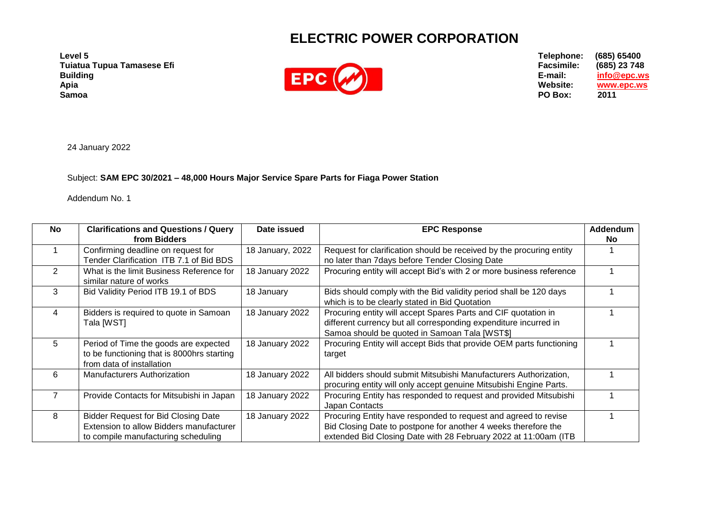## **ELECTRIC POWER CORPORATION**

**Level 5 Tuiatua Tupua Tamasese Efi Building Apia Samoa**



**Telephone: (685) 65400 Facsimile: (685) 23 748 E-mail: [info@epc.ws](mailto:info@epc.ws) www.epc.ws**<br>2011 **PO Box:** 

24 January 2022

Subject: **SAM EPC 30/2021 – 48,000 Hours Major Service Spare Parts for Fiaga Power Station**

Addendum No. 1

| No | <b>Clarifications and Questions / Query</b><br>from Bidders                                                                  | Date issued      | <b>EPC Response</b>                                                                                                                                                                                  | Addendum<br>No. |
|----|------------------------------------------------------------------------------------------------------------------------------|------------------|------------------------------------------------------------------------------------------------------------------------------------------------------------------------------------------------------|-----------------|
|    | Confirming deadline on request for<br>Tender Clarification ITB 7.1 of Bid BDS                                                | 18 January, 2022 | Request for clarification should be received by the procuring entity<br>no later than 7days before Tender Closing Date                                                                               |                 |
| 2  | What is the limit Business Reference for<br>similar nature of works                                                          | 18 January 2022  | Procuring entity will accept Bid's with 2 or more business reference                                                                                                                                 |                 |
| 3  | Bid Validity Period ITB 19.1 of BDS                                                                                          | 18 January       | Bids should comply with the Bid validity period shall be 120 days<br>which is to be clearly stated in Bid Quotation                                                                                  |                 |
| 4  | Bidders is required to quote in Samoan<br>Tala [WST]                                                                         | 18 January 2022  | Procuring entity will accept Spares Parts and CIF quotation in<br>different currency but all corresponding expenditure incurred in<br>Samoa should be quoted in Samoan Tala [WST\$]                  |                 |
| 5  | Period of Time the goods are expected<br>to be functioning that is 8000hrs starting<br>from data of installation             | 18 January 2022  | Procuring Entity will accept Bids that provide OEM parts functioning<br>target                                                                                                                       |                 |
| 6  | <b>Manufacturers Authorization</b>                                                                                           | 18 January 2022  | All bidders should submit Mitsubishi Manufacturers Authorization,<br>procuring entity will only accept genuine Mitsubishi Engine Parts.                                                              |                 |
|    | Provide Contacts for Mitsubishi in Japan                                                                                     | 18 January 2022  | Procuring Entity has responded to request and provided Mitsubishi<br>Japan Contacts                                                                                                                  |                 |
| 8  | <b>Bidder Request for Bid Closing Date</b><br>Extension to allow Bidders manufacturer<br>to compile manufacturing scheduling | 18 January 2022  | Procuring Entity have responded to request and agreed to revise<br>Bid Closing Date to postpone for another 4 weeks therefore the<br>extended Bid Closing Date with 28 February 2022 at 11:00am (ITB |                 |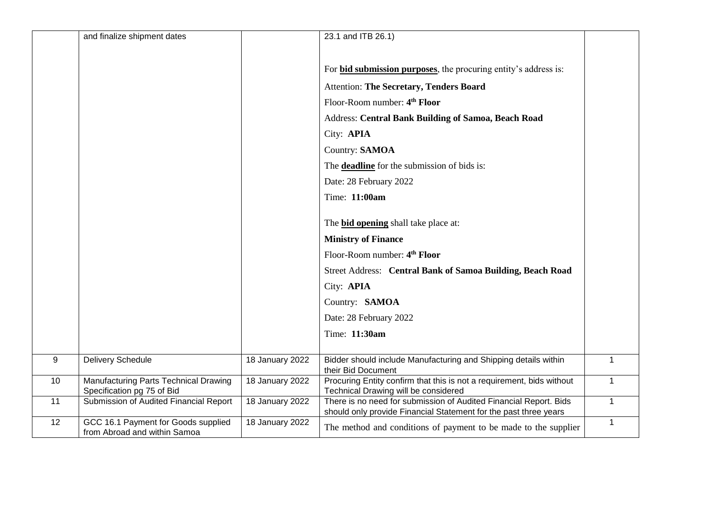|    | and finalize shipment dates                                         |                 | 23.1 and ITB 26.1)                                                                                                                                                                                                                         |              |
|----|---------------------------------------------------------------------|-----------------|--------------------------------------------------------------------------------------------------------------------------------------------------------------------------------------------------------------------------------------------|--------------|
|    |                                                                     |                 | For <b>bid submission purposes</b> , the procuring entity's address is:<br><b>Attention: The Secretary, Tenders Board</b><br>Floor-Room number: 4 <sup>th</sup> Floor<br>Address: Central Bank Building of Samoa, Beach Road<br>City: APIA |              |
|    |                                                                     |                 | Country: SAMOA                                                                                                                                                                                                                             |              |
|    |                                                                     |                 | The <b>deadline</b> for the submission of bids is:                                                                                                                                                                                         |              |
|    |                                                                     |                 | Date: 28 February 2022                                                                                                                                                                                                                     |              |
|    |                                                                     |                 | Time: 11:00am                                                                                                                                                                                                                              |              |
|    |                                                                     |                 | The <b>bid opening</b> shall take place at:                                                                                                                                                                                                |              |
|    |                                                                     |                 | <b>Ministry of Finance</b>                                                                                                                                                                                                                 |              |
|    |                                                                     |                 | Floor-Room number: 4 <sup>th</sup> Floor                                                                                                                                                                                                   |              |
|    |                                                                     |                 | Street Address: Central Bank of Samoa Building, Beach Road                                                                                                                                                                                 |              |
|    |                                                                     |                 | City: APIA                                                                                                                                                                                                                                 |              |
|    |                                                                     |                 | Country: SAMOA                                                                                                                                                                                                                             |              |
|    |                                                                     |                 | Date: 28 February 2022                                                                                                                                                                                                                     |              |
|    |                                                                     |                 | Time: 11:30am                                                                                                                                                                                                                              |              |
| 9  | <b>Delivery Schedule</b>                                            | 18 January 2022 | Bidder should include Manufacturing and Shipping details within                                                                                                                                                                            | $\mathbf 1$  |
|    |                                                                     |                 | their Bid Document                                                                                                                                                                                                                         |              |
| 10 | Manufacturing Parts Technical Drawing<br>Specification pg 75 of Bid | 18 January 2022 | Procuring Entity confirm that this is not a requirement, bids without<br>Technical Drawing will be considered                                                                                                                              | 1            |
| 11 | Submission of Audited Financial Report                              | 18 January 2022 | There is no need for submission of Audited Financial Report. Bids<br>should only provide Financial Statement for the past three years                                                                                                      | $\mathbf{1}$ |
| 12 | GCC 16.1 Payment for Goods supplied<br>from Abroad and within Samoa | 18 January 2022 | The method and conditions of payment to be made to the supplier                                                                                                                                                                            | $\mathbf{1}$ |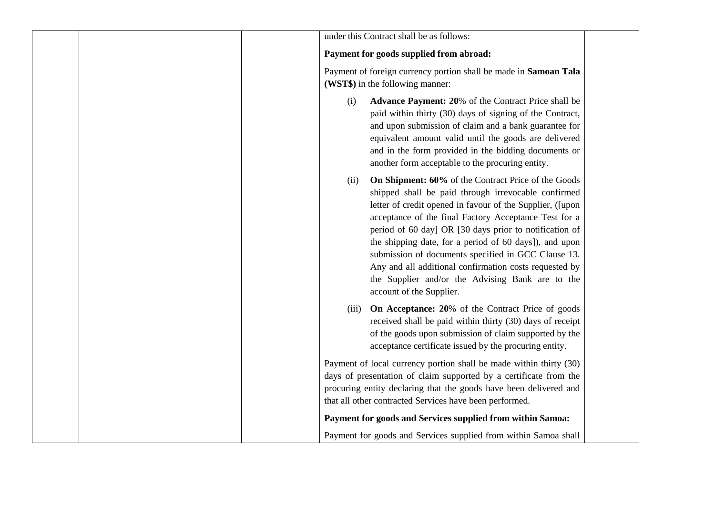| under this Contract shall be as follows:                                                                                                                                                                                                                                                                                                                                                                                                                                                                                                                      |
|---------------------------------------------------------------------------------------------------------------------------------------------------------------------------------------------------------------------------------------------------------------------------------------------------------------------------------------------------------------------------------------------------------------------------------------------------------------------------------------------------------------------------------------------------------------|
| Payment for goods supplied from abroad:                                                                                                                                                                                                                                                                                                                                                                                                                                                                                                                       |
| Payment of foreign currency portion shall be made in Samoan Tala<br>(WST\$) in the following manner:                                                                                                                                                                                                                                                                                                                                                                                                                                                          |
| <b>Advance Payment: 20%</b> of the Contract Price shall be<br>(i)<br>paid within thirty (30) days of signing of the Contract,<br>and upon submission of claim and a bank guarantee for<br>equivalent amount valid until the goods are delivered<br>and in the form provided in the bidding documents or<br>another form acceptable to the procuring entity.                                                                                                                                                                                                   |
| On Shipment: 60% of the Contract Price of the Goods<br>(ii)<br>shipped shall be paid through irrevocable confirmed<br>letter of credit opened in favour of the Supplier, ([upon<br>acceptance of the final Factory Acceptance Test for a<br>period of 60 day] OR [30 days prior to notification of<br>the shipping date, for a period of 60 days]), and upon<br>submission of documents specified in GCC Clause 13.<br>Any and all additional confirmation costs requested by<br>the Supplier and/or the Advising Bank are to the<br>account of the Supplier. |
| On Acceptance: 20% of the Contract Price of goods<br>(iii)<br>received shall be paid within thirty (30) days of receipt<br>of the goods upon submission of claim supported by the<br>acceptance certificate issued by the procuring entity.                                                                                                                                                                                                                                                                                                                   |
| Payment of local currency portion shall be made within thirty (30)<br>days of presentation of claim supported by a certificate from the<br>procuring entity declaring that the goods have been delivered and<br>that all other contracted Services have been performed.                                                                                                                                                                                                                                                                                       |
| Payment for goods and Services supplied from within Samoa:                                                                                                                                                                                                                                                                                                                                                                                                                                                                                                    |
| Payment for goods and Services supplied from within Samoa shall                                                                                                                                                                                                                                                                                                                                                                                                                                                                                               |